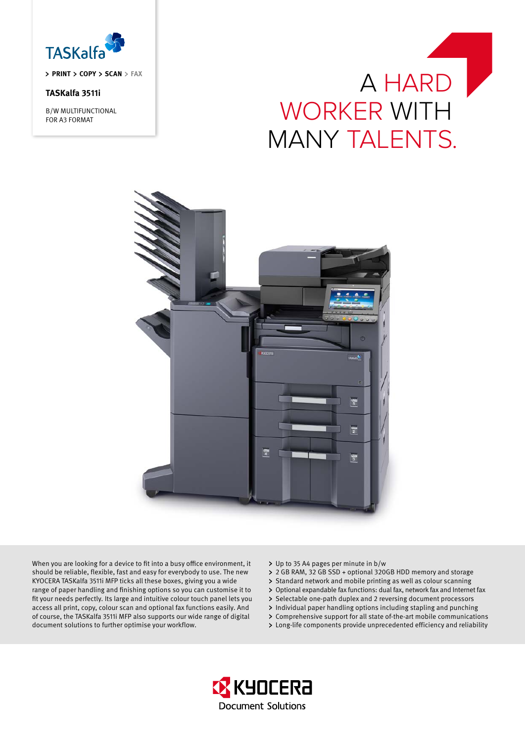

**priNT Copy Scan fax**

# **TASKalfa 3511i**

B/W MULTIFUNCTIONAL FOR A3 FORMAT





When you are looking for a device to fit into a busy office environment, it should be reliable, flexible, fast and easy for everybody to use. The new KYOCERA TASKalfa 3511i MFP ticks all these boxes, giving you a wide range of paper handling and finishing options so you can customise it to fit your needs perfectly. Its large and intuitive colour touch panel lets you access all print, copy, colour scan and optional fax functions easily. And of course, the TASKalfa 3511i MFP also supports our wide range of digital document solutions to further optimise your workflow.

Up to 35 A4 pages per minute in b/w

- 2 GB RAM, 32 GB SSD + optional 320GB HDD memory and storage
- > Standard network and mobile printing as well as colour scanning
- Optional expandable fax functions: dual fax, network fax and Internet fax
- > Selectable one-path duplex and 2 reversing document processors
- Individual paper handling options including stapling and punching
- Comprehensive support for all state of-the-art mobile communications
- Long-life components provide unprecedented efficiency and reliability